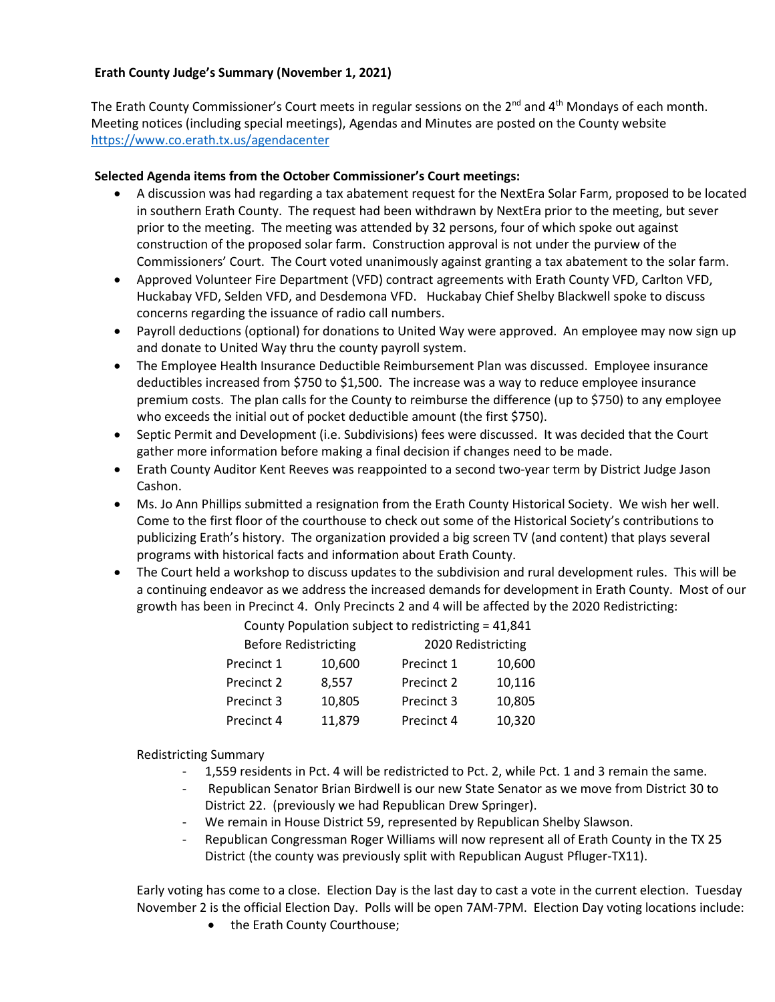## **Erath County Judge's Summary (November 1, 2021)**

The Erath County Commissioner's Court meets in regular sessions on the  $2<sup>nd</sup>$  and  $4<sup>th</sup>$  Mondays of each month. Meeting notices (including special meetings), Agendas and Minutes are posted on the County website <https://www.co.erath.tx.us/agendacenter>

## **Selected Agenda items from the October Commissioner's Court meetings:**

- A discussion was had regarding a tax abatement request for the NextEra Solar Farm, proposed to be located in southern Erath County. The request had been withdrawn by NextEra prior to the meeting, but sever prior to the meeting. The meeting was attended by 32 persons, four of which spoke out against construction of the proposed solar farm. Construction approval is not under the purview of the Commissioners' Court. The Court voted unanimously against granting a tax abatement to the solar farm.
- Approved Volunteer Fire Department (VFD) contract agreements with Erath County VFD, Carlton VFD, Huckabay VFD, Selden VFD, and Desdemona VFD. Huckabay Chief Shelby Blackwell spoke to discuss concerns regarding the issuance of radio call numbers.
- Payroll deductions (optional) for donations to United Way were approved. An employee may now sign up and donate to United Way thru the county payroll system.
- The Employee Health Insurance Deductible Reimbursement Plan was discussed. Employee insurance deductibles increased from \$750 to \$1,500. The increase was a way to reduce employee insurance premium costs. The plan calls for the County to reimburse the difference (up to \$750) to any employee who exceeds the initial out of pocket deductible amount (the first \$750).
- Septic Permit and Development (i.e. Subdivisions) fees were discussed. It was decided that the Court gather more information before making a final decision if changes need to be made.
- Erath County Auditor Kent Reeves was reappointed to a second two-year term by District Judge Jason Cashon.
- Ms. Jo Ann Phillips submitted a resignation from the Erath County Historical Society. We wish her well. Come to the first floor of the courthouse to check out some of the Historical Society's contributions to publicizing Erath's history. The organization provided a big screen TV (and content) that plays several programs with historical facts and information about Erath County.
- The Court held a workshop to discuss updates to the subdivision and rural development rules. This will be a continuing endeavor as we address the increased demands for development in Erath County. Most of our growth has been in Precinct 4. Only Precincts 2 and 4 will be affected by the 2020 Redistricting:

County Population subject to redistricting = 41,841

| <b>Before Redistricting</b> |        | 2020 Redistricting |        |
|-----------------------------|--------|--------------------|--------|
| Precinct 1                  | 10,600 | Precinct 1         | 10,600 |
| Precinct 2                  | 8,557  | Precinct 2         | 10,116 |
| Precinct 3                  | 10,805 | Precinct 3         | 10,805 |
| Precinct 4                  | 11,879 | Precinct 4         | 10,320 |
|                             |        |                    |        |

Redistricting Summary

- 1,559 residents in Pct. 4 will be redistricted to Pct. 2, while Pct. 1 and 3 remain the same.
- Republican Senator Brian Birdwell is our new State Senator as we move from District 30 to District 22. (previously we had Republican Drew Springer).
- We remain in House District 59, represented by Republican Shelby Slawson.
- Republican Congressman Roger Williams will now represent all of Erath County in the TX 25 District (the county was previously split with Republican August Pfluger-TX11).

Early voting has come to a close. Election Day is the last day to cast a vote in the current election. Tuesday November 2 is the official Election Day. Polls will be open 7AM-7PM. Election Day voting locations include:

• the Erath County Courthouse;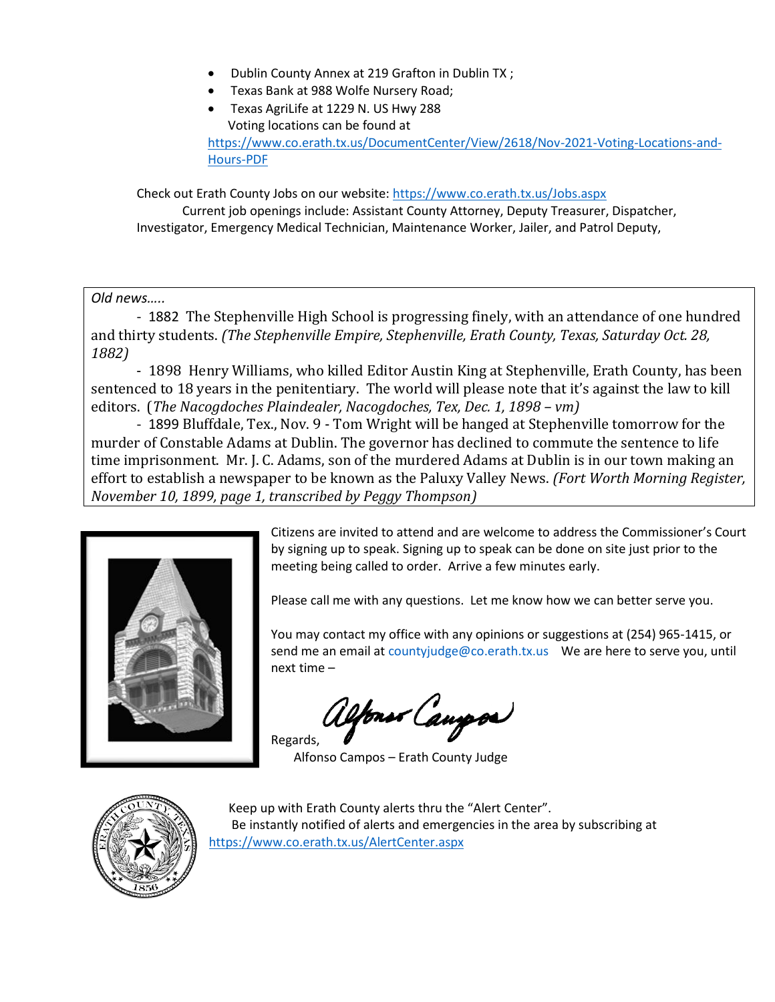- Dublin County Annex at 219 Grafton in Dublin TX ;
- Texas Bank at 988 Wolfe Nursery Road;
- Texas AgriLife at 1229 N. US Hwy 288 Voting locations can be found at [https://www.co.erath.tx.us/DocumentCenter/View/2618/Nov-2021-Voting-Locations-and-](https://www.co.erath.tx.us/DocumentCenter/View/2618/Nov-2021-Voting-Locations-and-Hours-PDF)[Hours-PDF](https://www.co.erath.tx.us/DocumentCenter/View/2618/Nov-2021-Voting-Locations-and-Hours-PDF)

Check out Erath County Jobs on our website:<https://www.co.erath.tx.us/Jobs.aspx> Current job openings include: Assistant County Attorney, Deputy Treasurer, Dispatcher, Investigator, Emergency Medical Technician, Maintenance Worker, Jailer, and Patrol Deputy,

*Old news…..*

- 1882 The Stephenville High School is progressing finely, with an attendance of one hundred and thirty students. *(The Stephenville Empire, Stephenville, Erath County, Texas, Saturday Oct. 28, 1882)*

- 1898 Henry Williams, who killed Editor Austin King at Stephenville, Erath County, has been sentenced to 18 years in the penitentiary. The world will please note that it's against the law to kill editors. (*The Nacogdoches Plaindealer, Nacogdoches, Tex, Dec. 1, 1898 – vm)*

- 1899 Bluffdale, Tex., Nov. 9 - Tom Wright will be hanged at Stephenville tomorrow for the murder of Constable Adams at Dublin. The governor has declined to commute the sentence to life time imprisonment. Mr. J. C. Adams, son of the murdered Adams at Dublin is in our town making an effort to establish a newspaper to be known as the Paluxy Valley News. *(Fort Worth Morning Register, November 10, 1899, page 1, transcribed by Peggy Thompson)*



Citizens are invited to attend and are welcome to address the Commissioner's Court by signing up to speak. Signing up to speak can be done on site just prior to the meeting being called to order. Arrive a few minutes early.

Please call me with any questions. Let me know how we can better serve you.

You may contact my office with any opinions or suggestions at (254) 965-1415, or send me an email at countyjudge@co.erath.tx.us We are here to serve you, until next time –

fons Caupos Regards,

Alfonso Campos – Erath County Judge



Keep up with Erath County alerts thru the "Alert Center". Be instantly notified of alerts and emergencies in the area by subscribing at <https://www.co.erath.tx.us/AlertCenter.aspx>